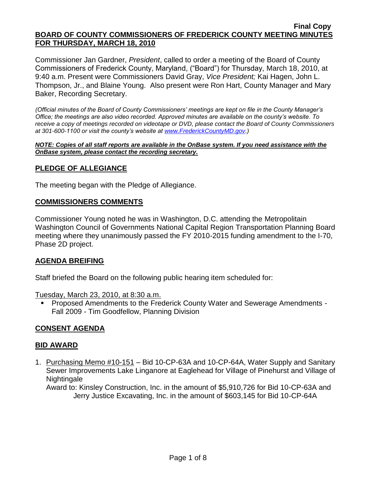#### **Final Copy BOARD OF COUNTY COMMISSIONERS OF FREDERICK COUNTY MEETING MINUTES FOR THURSDAY, MARCH 18, 2010**

Commissioner Jan Gardner, *President*, called to order a meeting of the Board of County Commissioners of Frederick County, Maryland, ("Board") for Thursday, March 18, 2010, at 9:40 a.m. Present were Commissioners David Gray, *Vice President;* Kai Hagen, John L. Thompson, Jr., and Blaine Young. Also present were Ron Hart, County Manager and Mary Baker, Recording Secretary.

*(Official minutes of the Board of County Commissioners' meetings are kept on file in the County Manager's Office; the meetings are also video recorded. Approved minutes are available on the county's website. To receive a copy of meetings recorded on videotape or DVD, please contact the Board of County Commissioners at 301-600-1100 or visit the county's website at [www.FrederickCountyMD.gov.](http://www.frederickcountymd.gov/))*

*NOTE: Copies of all staff reports are available in the OnBase system. If you need assistance with the OnBase system, please contact the recording secretary.*

### **PLEDGE OF ALLEGIANCE**

The meeting began with the Pledge of Allegiance.

#### **COMMISSIONERS COMMENTS**

Commissioner Young noted he was in Washington, D.C. attending the Metropolitain Washington Council of Governments National Capital Region Transportation Planning Board meeting where they unanimously passed the FY 2010-2015 funding amendment to the I-70, Phase 2D project.

#### **AGENDA BREIFING**

Staff briefed the Board on the following public hearing item scheduled for:

Tuesday, March 23, 2010, at 8:30 a.m.

 Proposed Amendments to the Frederick County Water and Sewerage Amendments - Fall 2009 - Tim Goodfellow, Planning Division

#### **CONSENT AGENDA**

#### **BID AWARD**

1. Purchasing Memo #10-151 – Bid 10-CP-63A and 10-CP-64A, Water Supply and Sanitary Sewer Improvements Lake Linganore at Eaglehead for Village of Pinehurst and Village of **Nightingale** 

Award to: Kinsley Construction, Inc. in the amount of \$5,910,726 for Bid 10-CP-63A and Jerry Justice Excavating, Inc. in the amount of \$603,145 for Bid 10-CP-64A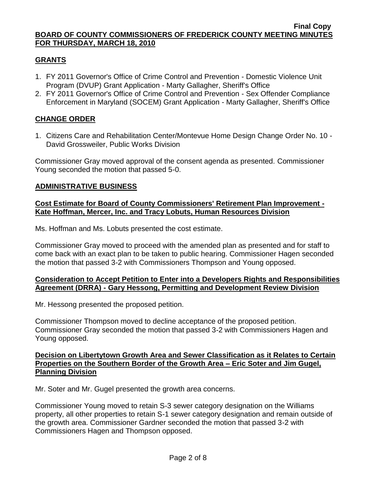## **GRANTS**

- 1. FY 2011 Governor's Office of Crime Control and Prevention Domestic Violence Unit Program (DVUP) Grant Application - Marty Gallagher, Sheriff's Office
- 2. FY 2011 Governor's Office of Crime Control and Prevention Sex Offender Compliance Enforcement in Maryland (SOCEM) Grant Application - Marty Gallagher, Sheriff's Office

### **CHANGE ORDER**

1. Citizens Care and Rehabilitation Center/Montevue Home Design Change Order No. 10 - David Grossweiler, Public Works Division

Commissioner Gray moved approval of the consent agenda as presented. Commissioner Young seconded the motion that passed 5-0.

### **ADMINISTRATIVE BUSINESS**

### **Cost Estimate for Board of County Commissioners' Retirement Plan Improvement - Kate Hoffman, Mercer, Inc. and Tracy Lobuts, Human Resources Division**

Ms. Hoffman and Ms. Lobuts presented the cost estimate.

Commissioner Gray moved to proceed with the amended plan as presented and for staff to come back with an exact plan to be taken to public hearing. Commissioner Hagen seconded the motion that passed 3-2 with Commissioners Thompson and Young opposed.

### **Consideration to Accept Petition to Enter into a Developers Rights and Responsibilities Agreement (DRRA) - Gary Hessong, Permitting and Development Review Division**

Mr. Hessong presented the proposed petition.

Commissioner Thompson moved to decline acceptance of the proposed petition. Commissioner Gray seconded the motion that passed 3-2 with Commissioners Hagen and Young opposed.

#### **Decision on Libertytown Growth Area and Sewer Classification as it Relates to Certain Properties on the Southern Border of the Growth Area – Eric Soter and Jim Gugel, Planning Division**

Mr. Soter and Mr. Gugel presented the growth area concerns.

Commissioner Young moved to retain S-3 sewer category designation on the Williams property, all other properties to retain S-1 sewer category designation and remain outside of the growth area. Commissioner Gardner seconded the motion that passed 3-2 with Commissioners Hagen and Thompson opposed.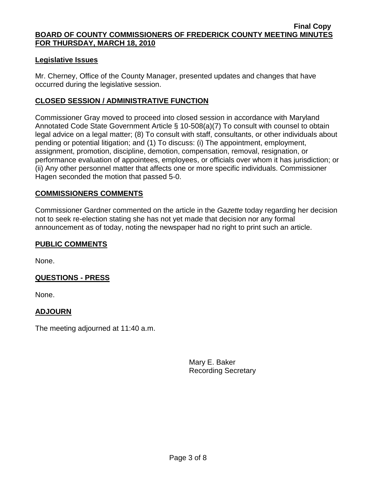### **Legislative Issues**

Mr. Cherney, Office of the County Manager, presented updates and changes that have occurred during the legislative session.

### **CLOSED SESSION / ADMINISTRATIVE FUNCTION**

Commissioner Gray moved to proceed into closed session in accordance with Maryland Annotated Code State Government Article § 10-508(a)(7) To consult with counsel to obtain legal advice on a legal matter; (8) To consult with staff, consultants, or other individuals about pending or potential litigation; and (1) To discuss: (i) The appointment, employment, assignment, promotion, discipline, demotion, compensation, removal, resignation, or performance evaluation of appointees, employees, or officials over whom it has jurisdiction; or (ii) Any other personnel matter that affects one or more specific individuals. Commissioner Hagen seconded the motion that passed 5-0.

### **COMMISSIONERS COMMENTS**

Commissioner Gardner commented on the article in the *Gazette* today regarding her decision not to seek re-election stating she has not yet made that decision nor any formal announcement as of today, noting the newspaper had no right to print such an article.

### **PUBLIC COMMENTS**

None.

### **QUESTIONS - PRESS**

None.

## **ADJOURN**

The meeting adjourned at 11:40 a.m.

Mary E. Baker Recording Secretary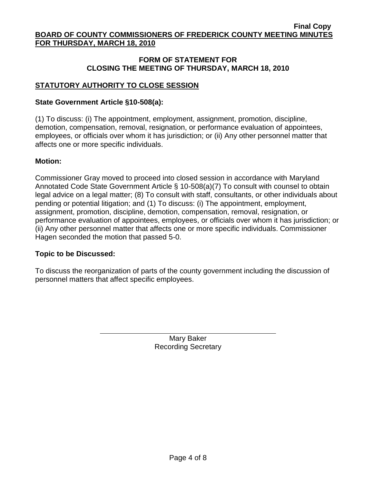## **FORM OF STATEMENT FOR CLOSING THE MEETING OF THURSDAY, MARCH 18, 2010**

# **STATUTORY AUTHORITY TO CLOSE SESSION**

### **State Government Article §10-508(a):**

(1) To discuss: (i) The appointment, employment, assignment, promotion, discipline, demotion, compensation, removal, resignation, or performance evaluation of appointees, employees, or officials over whom it has jurisdiction; or (ii) Any other personnel matter that affects one or more specific individuals.

### **Motion:**

Commissioner Gray moved to proceed into closed session in accordance with Maryland Annotated Code State Government Article § 10-508(a)(7) To consult with counsel to obtain legal advice on a legal matter; (8) To consult with staff, consultants, or other individuals about pending or potential litigation; and (1) To discuss: (i) The appointment, employment, assignment, promotion, discipline, demotion, compensation, removal, resignation, or performance evaluation of appointees, employees, or officials over whom it has jurisdiction; or (ii) Any other personnel matter that affects one or more specific individuals. Commissioner Hagen seconded the motion that passed 5-0.

### **Topic to be Discussed:**

To discuss the reorganization of parts of the county government including the discussion of personnel matters that affect specific employees.

> Mary Baker Recording Secretary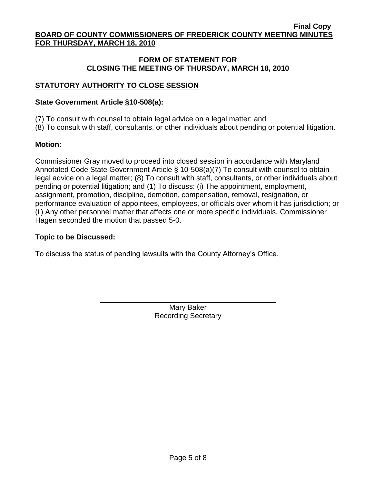## **FORM OF STATEMENT FOR CLOSING THE MEETING OF THURSDAY, MARCH 18, 2010**

# **STATUTORY AUTHORITY TO CLOSE SESSION**

### **State Government Article §10-508(a):**

- (7) To consult with counsel to obtain legal advice on a legal matter; and
- (8) To consult with staff, consultants, or other individuals about pending or potential litigation.

### **Motion:**

Commissioner Gray moved to proceed into closed session in accordance with Maryland Annotated Code State Government Article § 10-508(a)(7) To consult with counsel to obtain legal advice on a legal matter; (8) To consult with staff, consultants, or other individuals about pending or potential litigation; and (1) To discuss: (i) The appointment, employment, assignment, promotion, discipline, demotion, compensation, removal, resignation, or performance evaluation of appointees, employees, or officials over whom it has jurisdiction; or (ii) Any other personnel matter that affects one or more specific individuals. Commissioner Hagen seconded the motion that passed 5-0.

### **Topic to be Discussed:**

To discuss the status of pending lawsuits with the County Attorney's Office.

Mary Baker Recording Secretary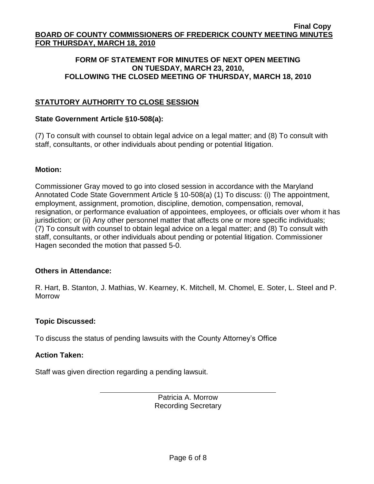### **FORM OF STATEMENT FOR MINUTES OF NEXT OPEN MEETING ON TUESDAY, MARCH 23, 2010, FOLLOWING THE CLOSED MEETING OF THURSDAY, MARCH 18, 2010**

# **STATUTORY AUTHORITY TO CLOSE SESSION**

### **State Government Article §10-508(a):**

(7) To consult with counsel to obtain legal advice on a legal matter; and (8) To consult with staff, consultants, or other individuals about pending or potential litigation.

### **Motion:**

Commissioner Gray moved to go into closed session in accordance with the Maryland Annotated Code State Government Article § 10-508(a) (1) To discuss: (i) The appointment, employment, assignment, promotion, discipline, demotion, compensation, removal, resignation, or performance evaluation of appointees, employees, or officials over whom it has jurisdiction; or (ii) Any other personnel matter that affects one or more specific individuals; (7) To consult with counsel to obtain legal advice on a legal matter; and (8) To consult with staff, consultants, or other individuals about pending or potential litigation. Commissioner Hagen seconded the motion that passed 5-0.

### **Others in Attendance:**

R. Hart, B. Stanton, J. Mathias, W. Kearney, K. Mitchell, M. Chomel, E. Soter, L. Steel and P. Morrow

### **Topic Discussed:**

To discuss the status of pending lawsuits with the County Attorney's Office

### **Action Taken:**

Staff was given direction regarding a pending lawsuit.

Patricia A. Morrow Recording Secretary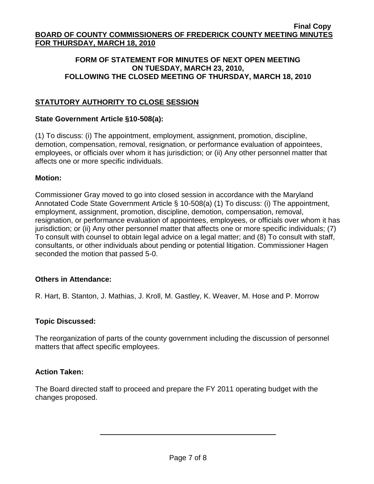### **FORM OF STATEMENT FOR MINUTES OF NEXT OPEN MEETING ON TUESDAY, MARCH 23, 2010, FOLLOWING THE CLOSED MEETING OF THURSDAY, MARCH 18, 2010**

# **STATUTORY AUTHORITY TO CLOSE SESSION**

### **State Government Article §10-508(a):**

(1) To discuss: (i) The appointment, employment, assignment, promotion, discipline, demotion, compensation, removal, resignation, or performance evaluation of appointees, employees, or officials over whom it has jurisdiction; or (ii) Any other personnel matter that affects one or more specific individuals.

### **Motion:**

Commissioner Gray moved to go into closed session in accordance with the Maryland Annotated Code State Government Article § 10-508(a) (1) To discuss: (i) The appointment, employment, assignment, promotion, discipline, demotion, compensation, removal, resignation, or performance evaluation of appointees, employees, or officials over whom it has jurisdiction; or (ii) Any other personnel matter that affects one or more specific individuals; (7) To consult with counsel to obtain legal advice on a legal matter; and (8) To consult with staff, consultants, or other individuals about pending or potential litigation. Commissioner Hagen seconded the motion that passed 5-0.

### **Others in Attendance:**

R. Hart, B. Stanton, J. Mathias, J. Kroll, M. Gastley, K. Weaver, M. Hose and P. Morrow

## **Topic Discussed:**

The reorganization of parts of the county government including the discussion of personnel matters that affect specific employees.

### **Action Taken:**

The Board directed staff to proceed and prepare the FY 2011 operating budget with the changes proposed.